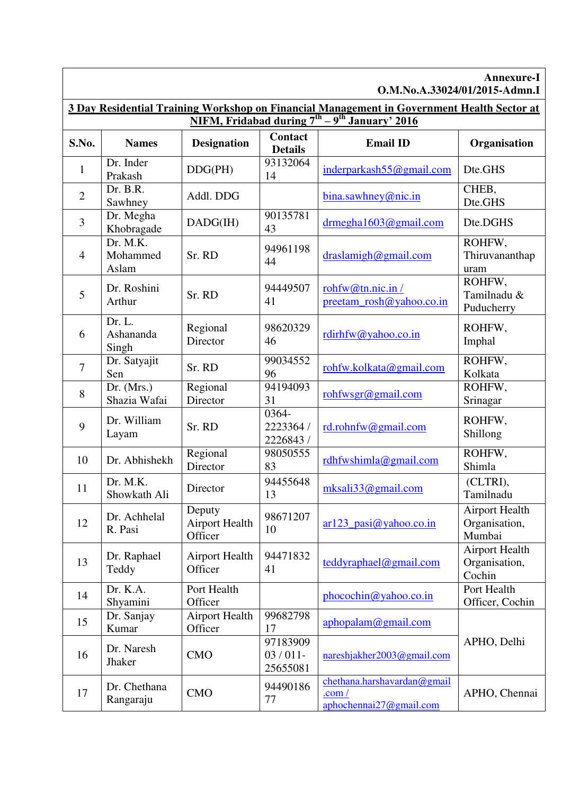| Annexure-I<br>O.M.No.A.33024/01/2015-Admn.I                                                                                                         |                               |                                            |                                    |                                                                     |                                                  |  |  |  |
|-----------------------------------------------------------------------------------------------------------------------------------------------------|-------------------------------|--------------------------------------------|------------------------------------|---------------------------------------------------------------------|--------------------------------------------------|--|--|--|
| 3 Day Residential Training Workshop on Financial Management in Government Health Sector at<br>NIFM, Fridabad during $7^{th} - 9^{th}$ January' 2016 |                               |                                            |                                    |                                                                     |                                                  |  |  |  |
| S.No.                                                                                                                                               | <b>Names</b>                  | <b>Designation</b>                         | Contact<br><b>Details</b>          | <b>Email ID</b>                                                     | Organisation                                     |  |  |  |
| 1                                                                                                                                                   | Dr. Inder<br>Prakash          | DDG(PH)                                    | 93132064<br>14                     | inderparkash55@gmail.com                                            | Dte.GHS                                          |  |  |  |
| $\overline{2}$                                                                                                                                      | Dr. B.R.<br>Sawhney           | Addl. DDG                                  |                                    | bina.sawhney@nic.in                                                 | CHEB,<br>Dte.GHS                                 |  |  |  |
| 3                                                                                                                                                   | Dr. Megha<br>Khobragade       | DADG(IH)                                   | 90135781<br>43                     | $drmegha1603$ @gmail.com                                            | Dte.DGHS                                         |  |  |  |
| $\overline{4}$                                                                                                                                      | Dr. M.K.<br>Mohammed<br>Aslam | Sr. RD                                     | 94961198<br>44                     | draslamigh@gmail.com                                                | ROHFW,<br>Thiruvananthap<br>uram                 |  |  |  |
| 5                                                                                                                                                   | Dr. Roshini<br>Arthur         | Sr. RD                                     | 94449507<br>41                     | rohfw@tn.nic.in/<br>preetam_rosh@yahoo.co.in                        | ROHFW,<br>Tamilnadu &<br>Puducherry              |  |  |  |
| 6                                                                                                                                                   | Dr. L.<br>Ashananda<br>Singh  | Regional<br>Director                       | 98620329<br>46                     | $\text{rdirhfw}(a)$ yahoo.co.in                                     | ROHFW,<br>Imphal                                 |  |  |  |
| $\tau$                                                                                                                                              | Dr. Satyajit<br>Sen           | Sr. RD                                     | 99034552<br>96                     | rohfw.kolkata@gmail.com                                             | ROHFW,<br>Kolkata                                |  |  |  |
| 8                                                                                                                                                   | Dr. (Mrs.)<br>Shazia Wafai    | Regional<br>Director                       | 94194093<br>31                     | rohfwsgr@gmail.com                                                  | ROHFW,<br>Srinagar                               |  |  |  |
| 9                                                                                                                                                   | Dr. William<br>Layam          | Sr. RD                                     | 0364-<br>2223364 /<br>2226843 /    | rd.rohnfw@gmail.com                                                 | ROHFW,<br>Shillong                               |  |  |  |
| 10                                                                                                                                                  | Dr. Abhishekh                 | Regional<br>Director                       | 98050555<br>83                     | $rdh f w shimla$ @gmail.com                                         | ROHFW,<br>Shimla                                 |  |  |  |
| 11                                                                                                                                                  | Dr. M.K.<br>Showkath Ali      | Director                                   | 94455648<br>13                     | $mksali33$ @gmail.com                                               | (CLTRI),<br>Tamilnadu                            |  |  |  |
| 12                                                                                                                                                  | Dr. Achhelal<br>R. Pasi       | Deputy<br><b>Airport Health</b><br>Officer | 98671207<br>10                     | $ar123$ _pasi@yahoo.co.in                                           | <b>Airport Health</b><br>Organisation,<br>Mumbai |  |  |  |
| 13                                                                                                                                                  | Dr. Raphael<br>Teddy          | <b>Airport Health</b><br>Officer           | 94471832<br>41                     | teddyraphael@gmail.com                                              | <b>Airport Health</b><br>Organisation,<br>Cochin |  |  |  |
| 14                                                                                                                                                  | Dr. K.A.<br>Shyamini          | Port Health<br>Officer                     |                                    | phocochin@yahoo.co.in                                               | Port Health<br>Officer, Cochin                   |  |  |  |
| 15                                                                                                                                                  | Dr. Sanjay<br>Kumar           | <b>Airport Health</b><br>Officer           | 99682798<br>17                     | aphopalam@gmail.com                                                 |                                                  |  |  |  |
| 16                                                                                                                                                  | Dr. Naresh<br><b>Jhaker</b>   | <b>CMO</b>                                 | 97183909<br>$03/011$ -<br>25655081 | nareshjakher2003@gmail.com                                          | APHO, Delhi                                      |  |  |  |
| 17                                                                                                                                                  | Dr. Chethana<br>Rangaraju     | <b>CMO</b>                                 | 94490186<br>77                     | chethana.harshavardan@gmail<br>.com/<br>$aphochemical7$ (@gmail.com | APHO, Chennai                                    |  |  |  |